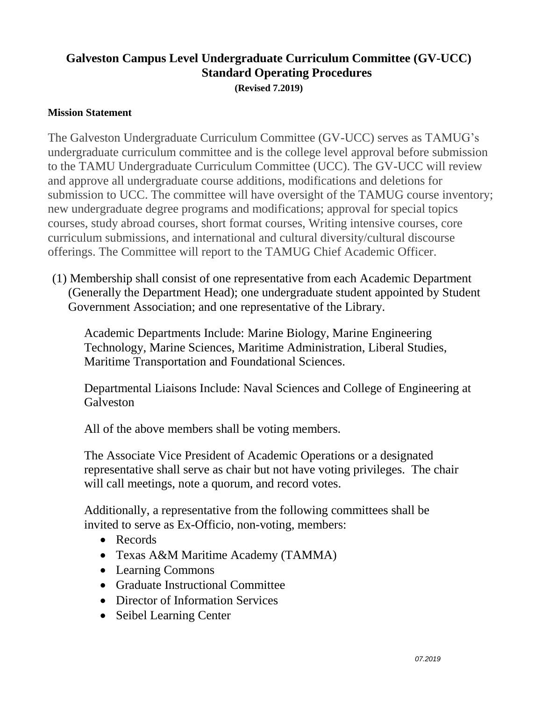## **Galveston Campus Level Undergraduate Curriculum Committee (GV-UCC) Standard Operating Procedures (Revised 7.2019)**

## **Mission Statement**

The Galveston Undergraduate Curriculum Committee (GV-UCC) serves as TAMUG's undergraduate curriculum committee and is the college level approval before submission to the TAMU Undergraduate Curriculum Committee (UCC). The GV-UCC will review and approve all undergraduate course additions, modifications and deletions for submission to UCC. The committee will have oversight of the TAMUG course inventory; new undergraduate degree programs and modifications; approval for special topics courses, study abroad courses, short format courses, Writing intensive courses, core curriculum submissions, and international and cultural diversity/cultural discourse offerings. The Committee will report to the TAMUG Chief Academic Officer.

(1) Membership shall consist of one representative from each Academic Department (Generally the Department Head); one undergraduate student appointed by Student Government Association; and one representative of the Library.

Academic Departments Include: Marine Biology, Marine Engineering Technology, Marine Sciences, Maritime Administration, Liberal Studies, Maritime Transportation and Foundational Sciences.

Departmental Liaisons Include: Naval Sciences and College of Engineering at **Galveston** 

All of the above members shall be voting members.

The Associate Vice President of Academic Operations or a designated representative shall serve as chair but not have voting privileges. The chair will call meetings, note a quorum, and record votes.

Additionally, a representative from the following committees shall be invited to serve as Ex-Officio, non-voting, members:

- Records
- Texas A&M Maritime Academy (TAMMA)
- Learning Commons
- Graduate Instructional Committee
- Director of Information Services
- Seibel Learning Center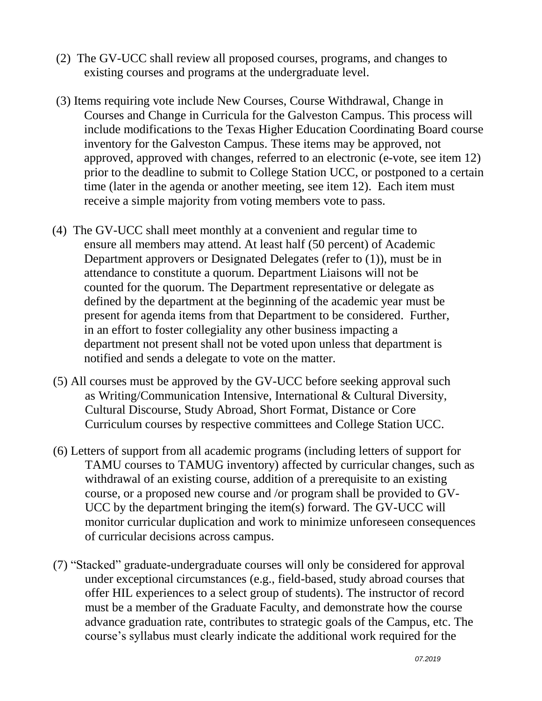- (2) The GV-UCC shall review all proposed courses, programs, and changes to existing courses and programs at the undergraduate level.
- (3) Items requiring vote include New Courses, Course Withdrawal, Change in Courses and Change in Curricula for the Galveston Campus. This process will include modifications to the Texas Higher Education Coordinating Board course inventory for the Galveston Campus. These items may be approved, not approved, approved with changes, referred to an electronic (e-vote, see item 12) prior to the deadline to submit to College Station UCC, or postponed to a certain time (later in the agenda or another meeting, see item 12). Each item must receive a simple majority from voting members vote to pass.
- (4) The GV-UCC shall meet monthly at a convenient and regular time to ensure all members may attend. At least half (50 percent) of Academic Department approvers or Designated Delegates (refer to (1)), must be in attendance to constitute a quorum. Department Liaisons will not be counted for the quorum. The Department representative or delegate as defined by the department at the beginning of the academic year must be present for agenda items from that Department to be considered. Further, in an effort to foster collegiality any other business impacting a department not present shall not be voted upon unless that department is notified and sends a delegate to vote on the matter.
- (5) All courses must be approved by the GV-UCC before seeking approval such as Writing/Communication Intensive, International & Cultural Diversity, Cultural Discourse, Study Abroad, Short Format, Distance or Core Curriculum courses by respective committees and College Station UCC.
- (6) Letters of support from all academic programs (including letters of support for TAMU courses to TAMUG inventory) affected by curricular changes, such as withdrawal of an existing course, addition of a prerequisite to an existing course, or a proposed new course and /or program shall be provided to GV-UCC by the department bringing the item(s) forward. The GV-UCC will monitor curricular duplication and work to minimize unforeseen consequences of curricular decisions across campus.
- (7) "Stacked" graduate-undergraduate courses will only be considered for approval under exceptional circumstances (e.g., field-based, study abroad courses that offer HIL experiences to a select group of students). The instructor of record must be a member of the Graduate Faculty, and demonstrate how the course advance graduation rate, contributes to strategic goals of the Campus, etc. The course's syllabus must clearly indicate the additional work required for the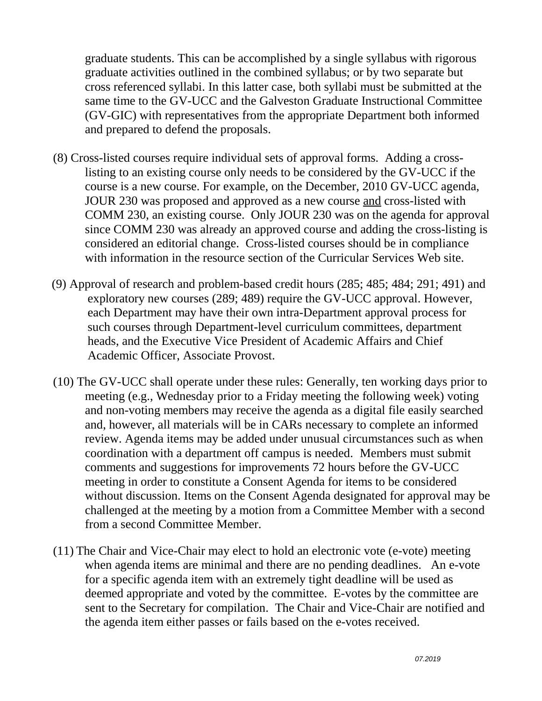graduate students. This can be accomplished by a single syllabus with rigorous graduate activities outlined in the combined syllabus; or by two separate but cross referenced syllabi. In this latter case, both syllabi must be submitted at the same time to the GV-UCC and the Galveston Graduate Instructional Committee (GV-GIC) with representatives from the appropriate Department both informed and prepared to defend the proposals.

- (8) Cross-listed courses require individual sets of approval forms. Adding a crosslisting to an existing course only needs to be considered by the GV-UCC if the course is a new course. For example, on the December, 2010 GV-UCC agenda, JOUR 230 was proposed and approved as a new course and cross-listed with COMM 230, an existing course. Only JOUR 230 was on the agenda for approval since COMM 230 was already an approved course and adding the cross-listing is considered an editorial change. Cross-listed courses should be in compliance with information in the resource section of the Curricular Services Web site.
- (9) Approval of research and problem-based credit hours (285; 485; 484; 291; 491) and exploratory new courses (289; 489) require the GV-UCC approval. However, each Department may have their own intra-Department approval process for such courses through Department-level curriculum committees, department heads, and the Executive Vice President of Academic Affairs and Chief Academic Officer, Associate Provost.
- (10) The GV-UCC shall operate under these rules: Generally, ten working days prior to meeting (e.g., Wednesday prior to a Friday meeting the following week) voting and non-voting members may receive the agenda as a digital file easily searched and, however, all materials will be in CARs necessary to complete an informed review. Agenda items may be added under unusual circumstances such as when coordination with a department off campus is needed. Members must submit comments and suggestions for improvements 72 hours before the GV-UCC meeting in order to constitute a Consent Agenda for items to be considered without discussion. Items on the Consent Agenda designated for approval may be challenged at the meeting by a motion from a Committee Member with a second from a second Committee Member.
- (11) The Chair and Vice-Chair may elect to hold an electronic vote (e-vote) meeting when agenda items are minimal and there are no pending deadlines. An e-vote for a specific agenda item with an extremely tight deadline will be used as deemed appropriate and voted by the committee. E-votes by the committee are sent to the Secretary for compilation. The Chair and Vice-Chair are notified and the agenda item either passes or fails based on the e-votes received.